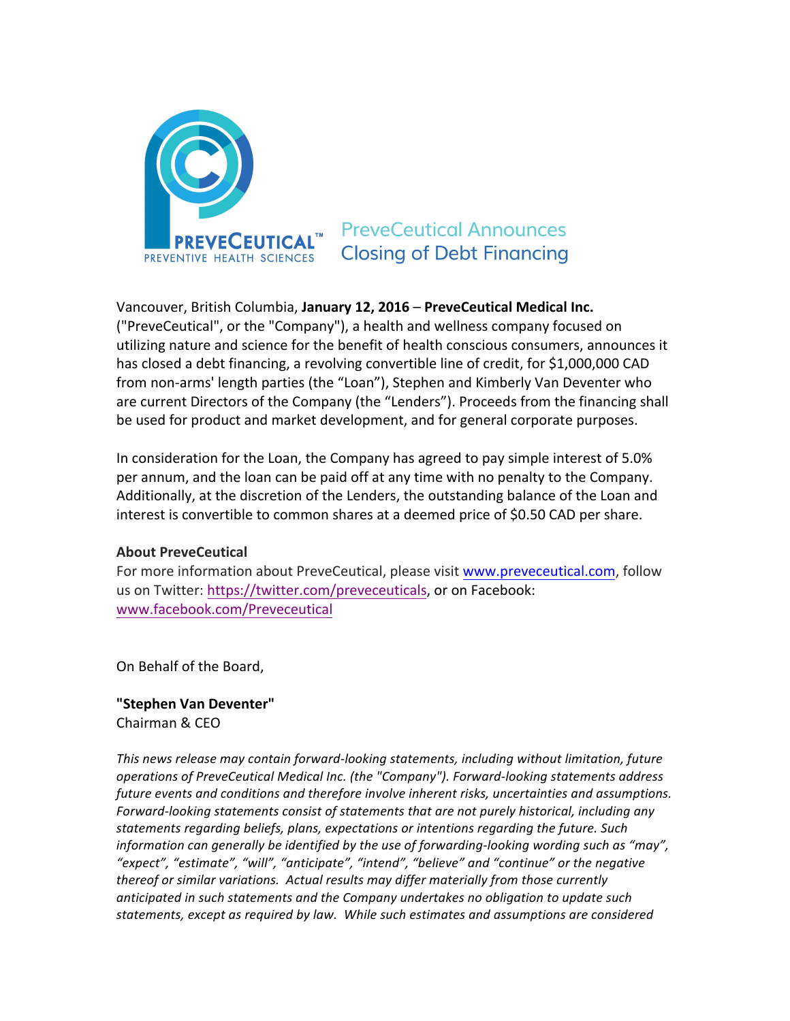

## **PreveCeutical Announces Closing of Debt Financing**

Vancouver, British Columbia, January 12, 2016 – PreveCeutical Medical Inc. ("PreveCeutical", or the "Company"), a health and wellness company focused on utilizing nature and science for the benefit of health conscious consumers, announces it has closed a debt financing, a revolving convertible line of credit, for \$1,000,000 CAD from non-arms' length parties (the "Loan"), Stephen and Kimberly Van Deventer who are current Directors of the Company (the "Lenders"). Proceeds from the financing shall be used for product and market development, and for general corporate purposes.

In consideration for the Loan, the Company has agreed to pay simple interest of 5.0% per annum, and the loan can be paid off at any time with no penalty to the Company. Additionally, at the discretion of the Lenders, the outstanding balance of the Loan and interest is convertible to common shares at a deemed price of \$0.50 CAD per share.

## **About PreveCeutical**

For more information about PreveCeutical, please visit www.preveceutical.com, follow us on Twitter: https://twitter.com/preveceuticals, or on Facebook: www.facebook.com/Preveceutical

On Behalf of the Board,

**"Stephen Van Deventer"**  Chairman & CEO

*This news release may contain forward-looking statements, including without limitation, future operations of PreveCeutical Medical Inc. (the "Company"). Forward-looking statements address future events and conditions and therefore involve inherent risks, uncertainties and assumptions.* Forward-looking statements consist of statements that are not purely historical, including any *statements regarding beliefs, plans, expectations or intentions regarding the future. Such information can generally be identified by the use of forwarding-looking wording such as "may", "expect", "estimate", "will", "anticipate", "intend", "believe" and "continue" or the negative thereof or similar variations. Actual results may differ materially from those currently anticipated in such statements and the Company undertakes no obligation to update such statements, except as required by law. While such estimates and assumptions are considered*